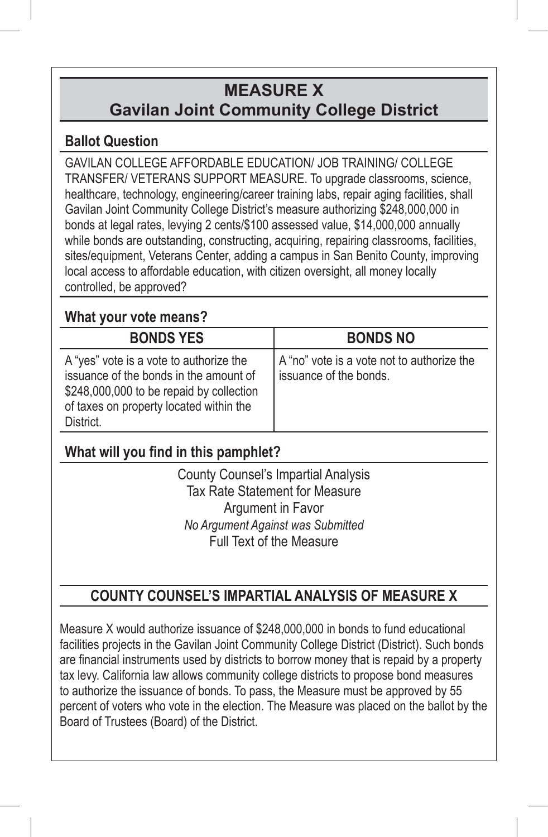# **MEASURE X Gavilan Joint Community College District**

### **Ballot Question**

GAVILAN COLLEGE AFFORDABLE EDUCATION/ JOB TRAINING/ COLLEGE TRANSFER/ VETERANS SUPPORT MEASURE. To upgrade classrooms, science, healthcare, technology, engineering/career training labs, repair aging facilities, shall Gavilan Joint Community College District's measure authorizing \$248,000,000 in bonds at legal rates, levying 2 cents/\$100 assessed value, \$14,000,000 annually while bonds are outstanding, constructing, acquiring, repairing classrooms, facilities, sites/equipment, Veterans Center, adding a campus in San Benito County, improving local access to affordable education, with citizen oversight, all money locally controlled, be approved?

### **What your vote means?**

| <b>BONDS YES</b>                                                                                                                                                                      | <b>BONDS NO</b>                                                      |
|---------------------------------------------------------------------------------------------------------------------------------------------------------------------------------------|----------------------------------------------------------------------|
| A "yes" vote is a vote to authorize the<br>issuance of the bonds in the amount of<br>\$248,000,000 to be repaid by collection<br>of taxes on property located within the<br>District. | A "no" vote is a vote not to authorize the<br>issuance of the bonds. |

## **What will you find in this pamphlet?**

County Counsel's Impartial Analysis Tax Rate Statement for Measure Argument in Favor *No Argument Against was Submitted* Full Text of the Measure

## **COUNTY COUNSEL'S IMPARTIAL ANALYSIS OF MEASURE X**

Measure X would authorize issuance of \$248,000,000 in bonds to fund educational facilities projects in the Gavilan Joint Community College District (District). Such bonds are financial instruments used by districts to borrow money that is repaid by a property tax levy. California law allows community college districts to propose bond measures to authorize the issuance of bonds. To pass, the Measure must be approved by 55 percent of voters who vote in the election. The Measure was placed on the ballot by the Board of Trustees (Board) of the District.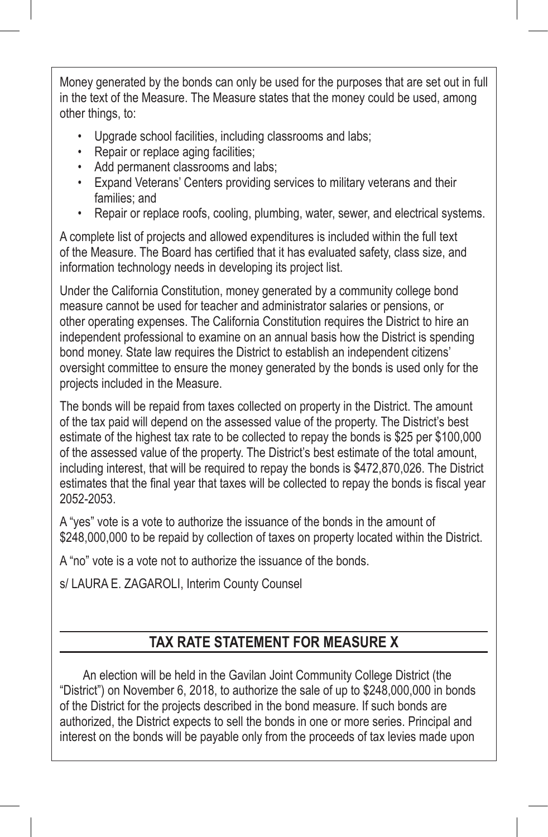Money generated by the bonds can only be used for the purposes that are set out in full in the text of the Measure. The Measure states that the money could be used, among other things, to:

- Upgrade school facilities, including classrooms and labs;
- Repair or replace aging facilities;
- Add permanent classrooms and labs;
- Expand Veterans' Centers providing services to military veterans and their families; and
- Repair or replace roofs, cooling, plumbing, water, sewer, and electrical systems.

A complete list of projects and allowed expenditures is included within the full text of the Measure. The Board has certified that it has evaluated safety, class size, and information technology needs in developing its project list.

Under the California Constitution, money generated by a community college bond measure cannot be used for teacher and administrator salaries or pensions, or other operating expenses. The California Constitution requires the District to hire an independent professional to examine on an annual basis how the District is spending bond money. State law requires the District to establish an independent citizens' oversight committee to ensure the money generated by the bonds is used only for the projects included in the Measure.

The bonds will be repaid from taxes collected on property in the District. The amount of the tax paid will depend on the assessed value of the property. The District's best estimate of the highest tax rate to be collected to repay the bonds is \$25 per \$100,000 of the assessed value of the property. The District's best estimate of the total amount, including interest, that will be required to repay the bonds is \$472,870,026. The District estimates that the final year that taxes will be collected to repay the bonds is fiscal year 2052-2053.

A "yes" vote is a vote to authorize the issuance of the bonds in the amount of \$248,000,000 to be repaid by collection of taxes on property located within the District.

A "no" vote is a vote not to authorize the issuance of the bonds.

s/ LAURA E. ZAGAROLI, Interim County Counsel

### **TAX RATE STATEMENT FOR MEASURE X**

An election will be held in the Gavilan Joint Community College District (the "District") on November 6, 2018, to authorize the sale of up to \$248,000,000 in bonds of the District for the projects described in the bond measure. If such bonds are authorized, the District expects to sell the bonds in one or more series. Principal and interest on the bonds will be payable only from the proceeds of tax levies made upon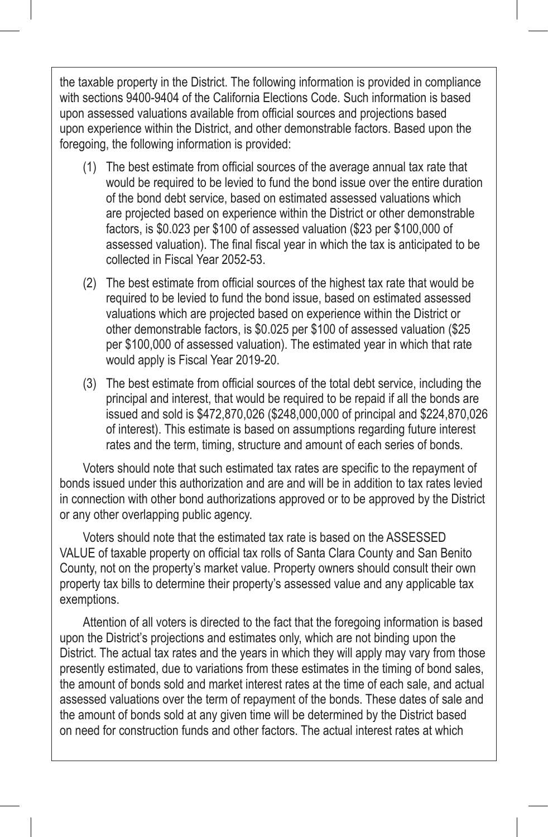the taxable property in the District. The following information is provided in compliance with sections 9400-9404 of the California Elections Code. Such information is based upon assessed valuations available from official sources and projections based upon experience within the District, and other demonstrable factors. Based upon the foregoing, the following information is provided:

- (1) The best estimate from official sources of the average annual tax rate that would be required to be levied to fund the bond issue over the entire duration of the bond debt service, based on estimated assessed valuations which are projected based on experience within the District or other demonstrable factors, is \$0.023 per \$100 of assessed valuation (\$23 per \$100,000 of assessed valuation). The final fiscal year in which the tax is anticipated to be collected in Fiscal Year 2052-53.
- (2) The best estimate from official sources of the highest tax rate that would be required to be levied to fund the bond issue, based on estimated assessed valuations which are projected based on experience within the District or other demonstrable factors, is \$0.025 per \$100 of assessed valuation (\$25 per \$100,000 of assessed valuation). The estimated year in which that rate would apply is Fiscal Year 2019-20.
- (3) The best estimate from official sources of the total debt service, including the principal and interest, that would be required to be repaid if all the bonds are issued and sold is \$472,870,026 (\$248,000,000 of principal and \$224,870,026 of interest). This estimate is based on assumptions regarding future interest rates and the term, timing, structure and amount of each series of bonds.

Voters should note that such estimated tax rates are specific to the repayment of bonds issued under this authorization and are and will be in addition to tax rates levied in connection with other bond authorizations approved or to be approved by the District or any other overlapping public agency.

Voters should note that the estimated tax rate is based on the ASSESSED VALUE of taxable property on official tax rolls of Santa Clara County and San Benito County, not on the property's market value. Property owners should consult their own property tax bills to determine their property's assessed value and any applicable tax exemptions.

Attention of all voters is directed to the fact that the foregoing information is based upon the District's projections and estimates only, which are not binding upon the District. The actual tax rates and the years in which they will apply may vary from those presently estimated, due to variations from these estimates in the timing of bond sales, the amount of bonds sold and market interest rates at the time of each sale, and actual assessed valuations over the term of repayment of the bonds. These dates of sale and the amount of bonds sold at any given time will be determined by the District based on need for construction funds and other factors. The actual interest rates at which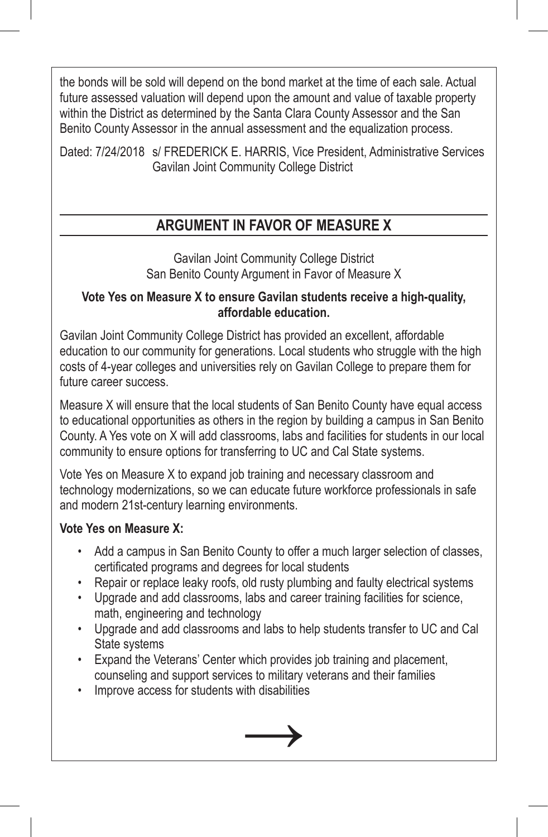the bonds will be sold will depend on the bond market at the time of each sale. Actual future assessed valuation will depend upon the amount and value of taxable property within the District as determined by the Santa Clara County Assessor and the San Benito County Assessor in the annual assessment and the equalization process.

Dated: 7/24/2018 s/ FREDERICK E. HARRIS, Vice President, Administrative Services Gavilan Joint Community College District

### **ARGUMENT IN FAVOR OF MEASURE X**

Gavilan Joint Community College District San Benito County Argument in Favor of Measure X

#### **Vote Yes on Measure X to ensure Gavilan students receive a high-quality, affordable education.**

Gavilan Joint Community College District has provided an excellent, affordable education to our community for generations. Local students who struggle with the high costs of 4-year colleges and universities rely on Gavilan College to prepare them for future career success.

Measure X will ensure that the local students of San Benito County have equal access to educational opportunities as others in the region by building a campus in San Benito County. A Yes vote on X will add classrooms, labs and facilities for students in our local community to ensure options for transferring to UC and Cal State systems.

Vote Yes on Measure X to expand job training and necessary classroom and technology modernizations, so we can educate future workforce professionals in safe and modern 21st-century learning environments.

#### **Vote Yes on Measure X:**

- Add a campus in San Benito County to offer a much larger selection of classes, certificated programs and degrees for local students
- Repair or replace leaky roofs, old rusty plumbing and faulty electrical systems
- Upgrade and add classrooms, labs and career training facilities for science, math, engineering and technology
- Upgrade and add classrooms and labs to help students transfer to UC and Cal State systems
- Expand the Veterans' Center which provides job training and placement, counseling and support services to military veterans and their families
- Improve access for students with disabilities

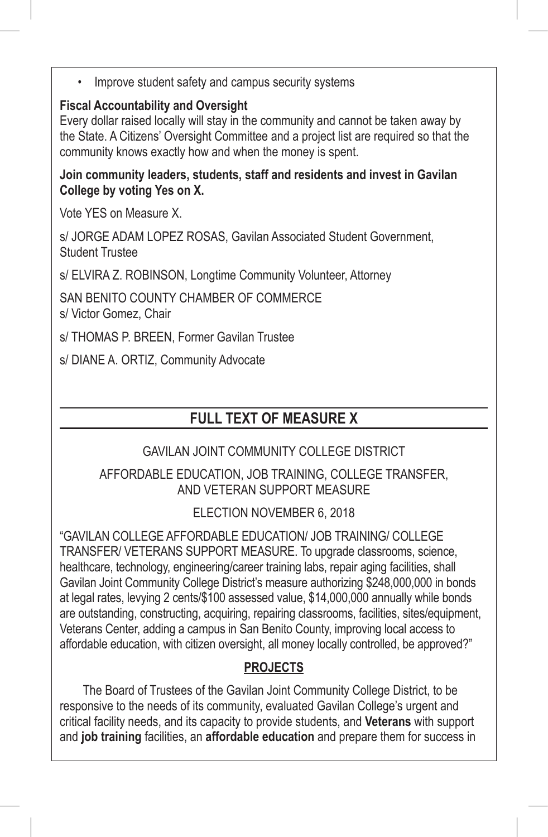Improve student safety and campus security systems

#### **Fiscal Accountability and Oversight**

Every dollar raised locally will stay in the community and cannot be taken away by the State. A Citizens' Oversight Committee and a project list are required so that the community knows exactly how and when the money is spent.

**Join community leaders, students, staff and residents and invest in Gavilan College by voting Yes on X.**

Vote YES on Measure X.

s/ JORGE ADAM LOPEZ ROSAS, Gavilan Associated Student Government, Student Trustee

s/ ELVIRA Z. ROBINSON, Longtime Community Volunteer, Attorney

SAN BENITO COUNTY CHAMBER OF COMMERCE s/ Victor Gomez, Chair

s/ THOMAS P. BREEN, Former Gavilan Trustee

s/ DIANE A. ORTIZ, Community Advocate

### **FULL TEXT OF MEASURE X**

#### GAVILAN JOINT COMMUNITY COLLEGE DISTRICT

#### AFFORDABLE EDUCATION, JOB TRAINING, COLLEGE TRANSFER, AND VETERAN SUPPORT MEASURE

ELECTION NOVEMBER 6, 2018

"GAVILAN COLLEGE AFFORDABLE EDUCATION/ JOB TRAINING/ COLLEGE TRANSFER/ VETERANS SUPPORT MEASURE. To upgrade classrooms, science, healthcare, technology, engineering/career training labs, repair aging facilities, shall Gavilan Joint Community College District's measure authorizing \$248,000,000 in bonds at legal rates, levying 2 cents/\$100 assessed value, \$14,000,000 annually while bonds are outstanding, constructing, acquiring, repairing classrooms, facilities, sites/equipment, Veterans Center, adding a campus in San Benito County, improving local access to affordable education, with citizen oversight, all money locally controlled, be approved?"

### **PROJECTS**

The Board of Trustees of the Gavilan Joint Community College District, to be responsive to the needs of its community, evaluated Gavilan College's urgent and critical facility needs, and its capacity to provide students, and **Veterans** with support and **job training** facilities, an **affordable education** and prepare them for success in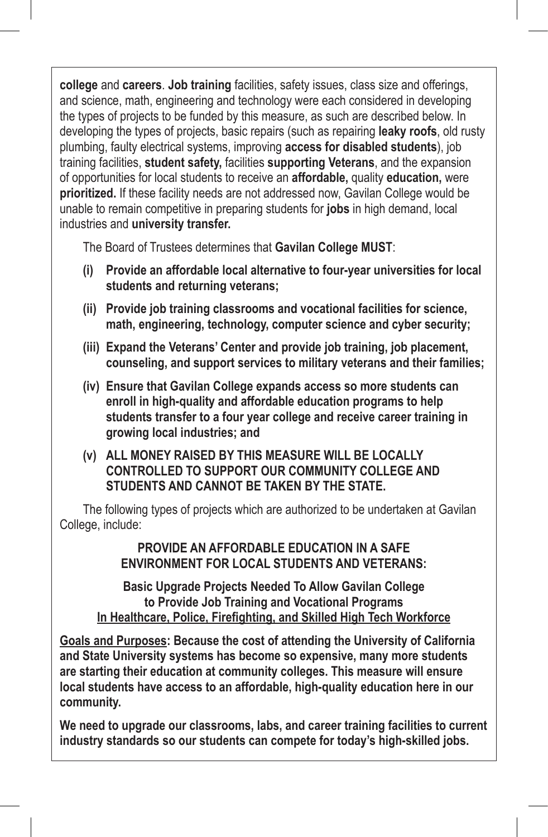**college** and **careers**. **Job training** facilities, safety issues, class size and offerings, and science, math, engineering and technology were each considered in developing the types of projects to be funded by this measure, as such are described below. In developing the types of projects, basic repairs (such as repairing **leaky roofs**, old rusty plumbing, faulty electrical systems, improving **access for disabled students**), job training facilities, **student safety,** facilities **supporting Veterans**, and the expansion of opportunities for local students to receive an **affordable,** quality **education,** were **prioritized.** If these facility needs are not addressed now, Gavilan College would be unable to remain competitive in preparing students for **jobs** in high demand, local industries and **university transfer.**

The Board of Trustees determines that **Gavilan College MUST**:

- **(i) Provide an affordable local alternative to four-year universities for local students and returning veterans;**
- **(ii) Provide job training classrooms and vocational facilities for science, math, engineering, technology, computer science and cyber security;**
- **(iii) Expand the Veterans' Center and provide job training, job placement, counseling, and support services to military veterans and their families;**
- **(iv) Ensure that Gavilan College expands access so more students can enroll in high-quality and affordable education programs to help students transfer to a four year college and receive career training in growing local industries; and**
- **(v) ALL MONEY RAISED BY THIS MEASURE WILL BE LOCALLY CONTROLLED TO SUPPORT OUR COMMUNITY COLLEGE AND STUDENTS AND CANNOT BE TAKEN BY THE STATE.**

The following types of projects which are authorized to be undertaken at Gavilan College, include:

> **PROVIDE AN AFFORDABLE EDUCATION IN A SAFE ENVIRONMENT FOR LOCAL STUDENTS AND VETERANS:**

**Basic Upgrade Projects Needed To Allow Gavilan College to Provide Job Training and Vocational Programs In Healthcare, Police, Firefighting, and Skilled High Tech Workforce**

**Goals and Purposes: Because the cost of attending the University of California and State University systems has become so expensive, many more students are starting their education at community colleges. This measure will ensure local students have access to an affordable, high-quality education here in our community.**

**We need to upgrade our classrooms, labs, and career training facilities to current industry standards so our students can compete for today's high-skilled jobs.**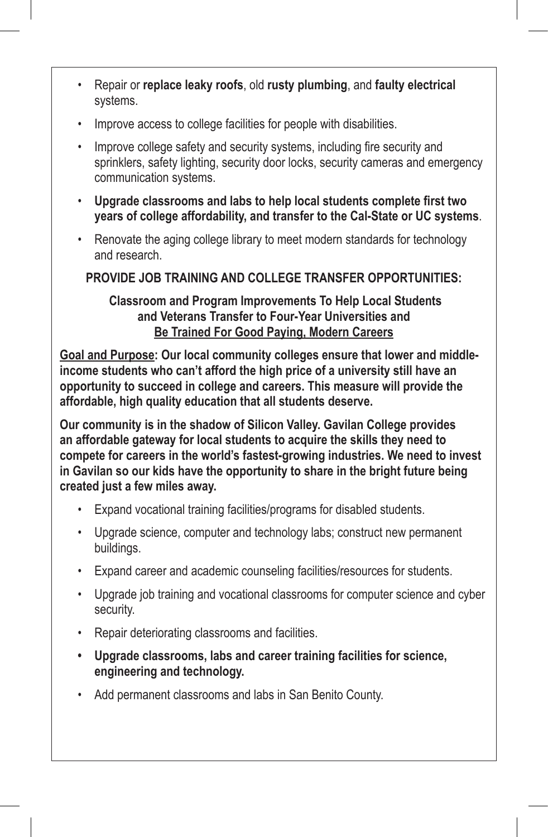- Repair or **replace leaky roofs**, old **rusty plumbing**, and **faulty electrical**  systems.
- Improve access to college facilities for people with disabilities.
- Improve college safety and security systems, including fire security and sprinklers, safety lighting, security door locks, security cameras and emergency communication systems.
- **Upgrade classrooms and labs to help local students complete first two years of college affordability, and transfer to the Cal-State or UC systems**.
- Renovate the aging college library to meet modern standards for technology and research.

#### **PROVIDE JOB TRAINING AND COLLEGE TRANSFER OPPORTUNITIES:**

#### **Classroom and Program Improvements To Help Local Students and Veterans Transfer to Four-Year Universities and Be Trained For Good Paying, Modern Careers**

**Goal and Purpose: Our local community colleges ensure that lower and middleincome students who can't afford the high price of a university still have an opportunity to succeed in college and careers. This measure will provide the affordable, high quality education that all students deserve.**

**Our community is in the shadow of Silicon Valley. Gavilan College provides an affordable gateway for local students to acquire the skills they need to compete for careers in the world's fastest-growing industries. We need to invest in Gavilan so our kids have the opportunity to share in the bright future being created just a few miles away.**

- Expand vocational training facilities/programs for disabled students.
- Upgrade science, computer and technology labs; construct new permanent buildings.
- Expand career and academic counseling facilities/resources for students.
- Upgrade job training and vocational classrooms for computer science and cyber security.
- Repair deteriorating classrooms and facilities.
- **• Upgrade classrooms, labs and career training facilities for science, engineering and technology.**
- Add permanent classrooms and labs in San Benito County.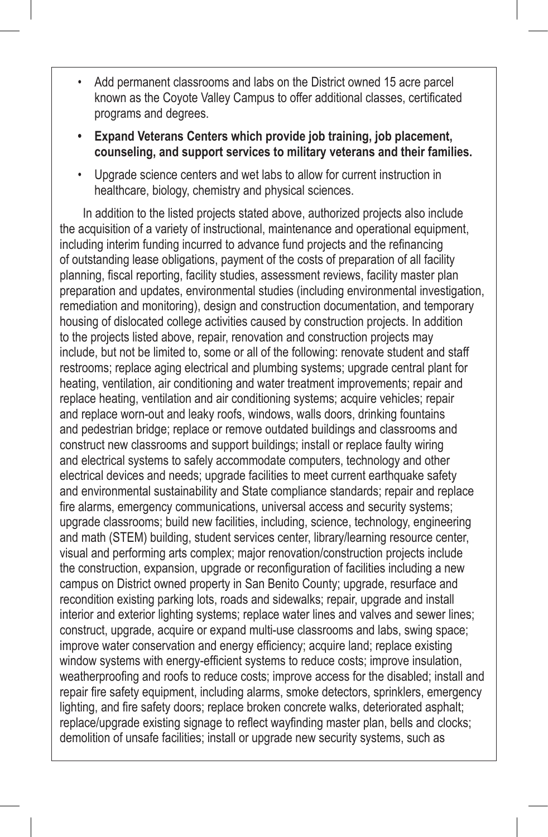- Add permanent classrooms and labs on the District owned 15 acre parcel known as the Coyote Valley Campus to offer additional classes, certificated programs and degrees.
- **• Expand Veterans Centers which provide job training, job placement, counseling, and support services to military veterans and their families.**
- Upgrade science centers and wet labs to allow for current instruction in healthcare, biology, chemistry and physical sciences.

In addition to the listed projects stated above, authorized projects also include the acquisition of a variety of instructional, maintenance and operational equipment, including interim funding incurred to advance fund projects and the refinancing of outstanding lease obligations, payment of the costs of preparation of all facility planning, fiscal reporting, facility studies, assessment reviews, facility master plan preparation and updates, environmental studies (including environmental investigation, remediation and monitoring), design and construction documentation, and temporary housing of dislocated college activities caused by construction projects. In addition to the projects listed above, repair, renovation and construction projects may include, but not be limited to, some or all of the following: renovate student and staff restrooms; replace aging electrical and plumbing systems; upgrade central plant for heating, ventilation, air conditioning and water treatment improvements; repair and replace heating, ventilation and air conditioning systems; acquire vehicles; repair and replace worn-out and leaky roofs, windows, walls doors, drinking fountains and pedestrian bridge; replace or remove outdated buildings and classrooms and construct new classrooms and support buildings; install or replace faulty wiring and electrical systems to safely accommodate computers, technology and other electrical devices and needs; upgrade facilities to meet current earthquake safety and environmental sustainability and State compliance standards; repair and replace fire alarms, emergency communications, universal access and security systems; upgrade classrooms; build new facilities, including, science, technology, engineering and math (STEM) building, student services center, library/learning resource center, visual and performing arts complex; major renovation/construction projects include the construction, expansion, upgrade or reconfiguration of facilities including a new campus on District owned property in San Benito County; upgrade, resurface and recondition existing parking lots, roads and sidewalks; repair, upgrade and install interior and exterior lighting systems; replace water lines and valves and sewer lines; construct, upgrade, acquire or expand multi-use classrooms and labs, swing space; improve water conservation and energy efficiency; acquire land; replace existing window systems with energy-efficient systems to reduce costs; improve insulation, weatherproofing and roofs to reduce costs; improve access for the disabled; install and repair fire safety equipment, including alarms, smoke detectors, sprinklers, emergency lighting, and fire safety doors; replace broken concrete walks, deteriorated asphalt; replace/upgrade existing signage to reflect wayfinding master plan, bells and clocks; demolition of unsafe facilities; install or upgrade new security systems, such as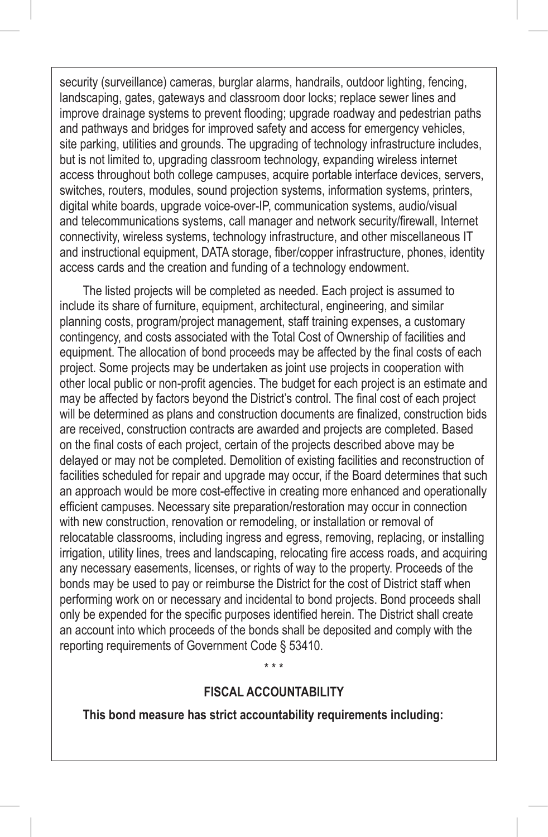security (surveillance) cameras, burglar alarms, handrails, outdoor lighting, fencing, landscaping, gates, gateways and classroom door locks; replace sewer lines and improve drainage systems to prevent flooding; upgrade roadway and pedestrian paths and pathways and bridges for improved safety and access for emergency vehicles, site parking, utilities and grounds. The upgrading of technology infrastructure includes, but is not limited to, upgrading classroom technology, expanding wireless internet access throughout both college campuses, acquire portable interface devices, servers, switches, routers, modules, sound projection systems, information systems, printers, digital white boards, upgrade voice-over-IP, communication systems, audio/visual and telecommunications systems, call manager and network security/firewall, Internet connectivity, wireless systems, technology infrastructure, and other miscellaneous IT and instructional equipment, DATA storage, fiber/copper infrastructure, phones, identity access cards and the creation and funding of a technology endowment.

The listed projects will be completed as needed. Each project is assumed to include its share of furniture, equipment, architectural, engineering, and similar planning costs, program/project management, staff training expenses, a customary contingency, and costs associated with the Total Cost of Ownership of facilities and equipment. The allocation of bond proceeds may be affected by the final costs of each project. Some projects may be undertaken as joint use projects in cooperation with other local public or non-profit agencies. The budget for each project is an estimate and may be affected by factors beyond the District's control. The final cost of each project will be determined as plans and construction documents are finalized, construction bids are received, construction contracts are awarded and projects are completed. Based on the final costs of each project, certain of the projects described above may be delayed or may not be completed. Demolition of existing facilities and reconstruction of facilities scheduled for repair and upgrade may occur, if the Board determines that such an approach would be more cost-effective in creating more enhanced and operationally efficient campuses. Necessary site preparation/restoration may occur in connection with new construction, renovation or remodeling, or installation or removal of relocatable classrooms, including ingress and egress, removing, replacing, or installing irrigation, utility lines, trees and landscaping, relocating fire access roads, and acquiring any necessary easements, licenses, or rights of way to the property. Proceeds of the bonds may be used to pay or reimburse the District for the cost of District staff when performing work on or necessary and incidental to bond projects. Bond proceeds shall only be expended for the specific purposes identified herein. The District shall create an account into which proceeds of the bonds shall be deposited and comply with the reporting requirements of Government Code § 53410.

#### **FISCAL ACCOUNTABILITY**

\* \* \*

**This bond measure has strict accountability requirements including:**